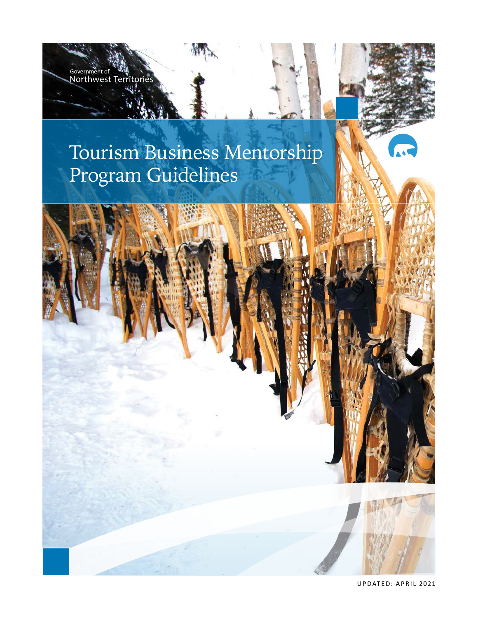# Tourism Business Mentorship Program Guidelines

Government of **State**<br>Northwest Territor



UPDATED: APRIL 2021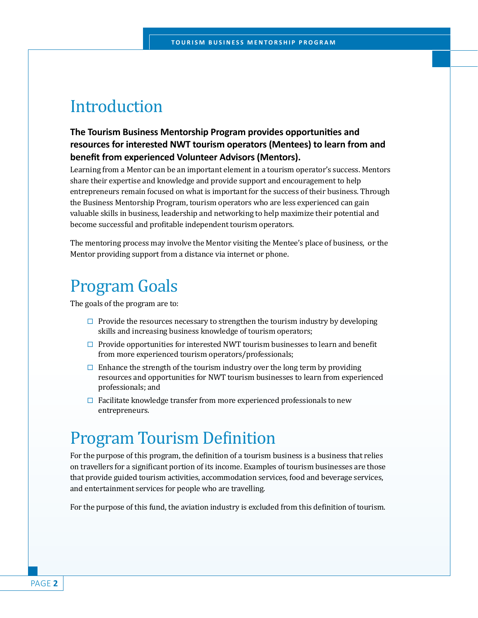### Introduction

#### **The Tourism Business Mentorship Program provides opportunities and resources for interested NWT tourism operators (Mentees) to learn from and benefit from experienced Volunteer Advisors (Mentors).**

Learning from a Mentor can be an important element in a tourism operator's success. Mentors share their expertise and knowledge and provide support and encouragement to help entrepreneurs remain focused on what is important for the success of their business. Through the Business Mentorship Program, tourism operators who are less experienced can gain valuable skills in business, leadership and networking to help maximize their potential and become successful and profitable independent tourism operators.

The mentoring process may involve the Mentor visiting the Mentee's place of business, or the Mentor providing support from a distance via internet or phone.

### Program Goals

The goals of the program are to:

- $\Box$  Provide the resources necessary to strengthen the tourism industry by developing skills and increasing business knowledge of tourism operators;
- $\Box$  Provide opportunities for interested NWT tourism businesses to learn and benefit from more experienced tourism operators/professionals;
- $\Box$  Enhance the strength of the tourism industry over the long term by providing resources and opportunities for NWT tourism businesses to learn from experienced professionals; and
- $\Box$  Facilitate knowledge transfer from more experienced professionals to new entrepreneurs.

### Program Tourism Definition

For the purpose of this program, the definition of a tourism business is a business that relies on travellers for a significant portion of its income. Examples of tourism businesses are those that provide guided tourism activities, accommodation services, food and beverage services, and entertainment services for people who are travelling.

For the purpose of this fund, the aviation industry is excluded from this definition of tourism.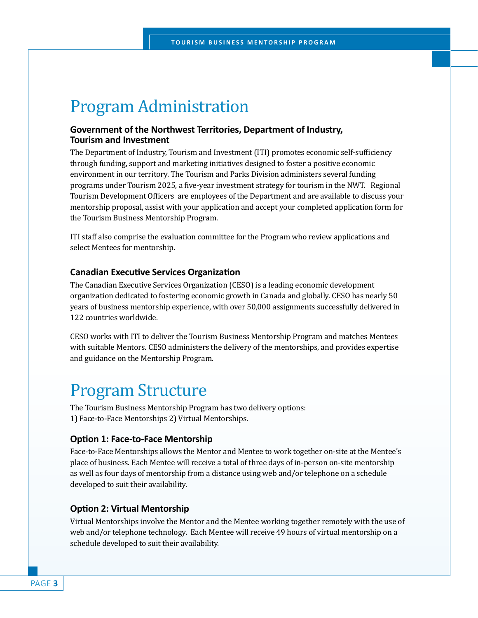### Program Administration

#### **Government of the Northwest Territories, Department of Industry, Tourism and Investment**

The Department of Industry, Tourism and Investment (ITI) promotes economic self-sufficiency through funding, support and marketing initiatives designed to foster a positive economic environment in our territory. The Tourism and Parks Division administers several funding programs under Tourism 2025, a five-year investment strategy for tourism in the NWT. Regional Tourism Development Officers are employees of the Department and are available to discuss your mentorship proposal, assist with your application and accept your completed application form for the Tourism Business Mentorship Program.

ITI staff also comprise the evaluation committee for the Program who review applications and select Mentees for mentorship.

#### **Canadian Executive Services Organization**

The Canadian Executive Services Organization (CESO) is a leading economic development organization dedicated to fostering economic growth in Canada and globally. CESO has nearly 50 years of business mentorship experience, with over 50,000 assignments successfully delivered in 122 countries worldwide.

CESO works with ITI to deliver the Tourism Business Mentorship Program and matches Mentees with suitable Mentors. CESO administers the delivery of the mentorships, and provides expertise and guidance on the Mentorship Program.

### Program Structure

The Tourism Business Mentorship Program has two delivery options: 1) Face-to-Face Mentorships 2) Virtual Mentorships.

#### **Option 1: Face-to-Face Mentorship**

Face-to-Face Mentorships allows the Mentor and Mentee to work together on-site at the Mentee's place of business. Each Mentee will receive a total of three days of in-person on-site mentorship as well as four days of mentorship from a distance using web and/or telephone on a schedule developed to suit their availability.

#### **Option 2: Virtual Mentorship**

Virtual Mentorships involve the Mentor and the Mentee working together remotely with the use of web and/or telephone technology. Each Mentee will receive 49 hours of virtual mentorship on a schedule developed to suit their availability.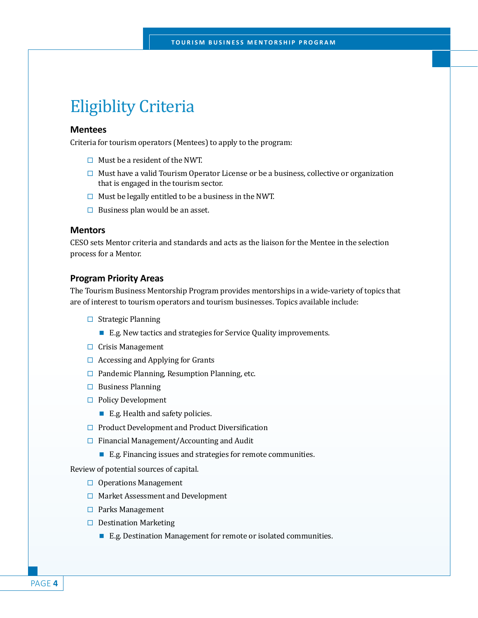### Eligiblity Criteria

#### **Mentees**

Criteria for tourism operators (Mentees) to apply to the program:

- $\Box$  Must be a resident of the NWT.
- $\Box$  Must have a valid Tourism Operator License or be a business, collective or organization that is engaged in the tourism sector.
- $\Box$  Must be legally entitled to be a business in the NWT.
- $\Box$  Business plan would be an asset.

#### **Mentors**

CESO sets Mentor criteria and standards and acts as the liaison for the Mentee in the selection process for a Mentor.

#### **Program Priority Areas**

The Tourism Business Mentorship Program provides mentorships in a wide-variety of topics that are of interest to tourism operators and tourism businesses. Topics available include:

- $\Box$  Strategic Planning
	- E.g. New tactics and strategies for Service Quality improvements.
- $\Box$  Crisis Management
- $\Box$  Accessing and Applying for Grants
- $\Box$  Pandemic Planning, Resumption Planning, etc.
- $\Box$  Business Planning
- □ Policy Development
	- E.g. Health and safety policies.
- $\Box$  Product Development and Product Diversification
- $\Box$  Financial Management/Accounting and Audit
	- E.g. Financing issues and strategies for remote communities.

Review of potential sources of capital.

- $\Box$  Operations Management
- $\Box$  Market Assessment and Development
- $\Box$  Parks Management
- $\Box$  Destination Marketing
	- E.g. Destination Management for remote or isolated communities.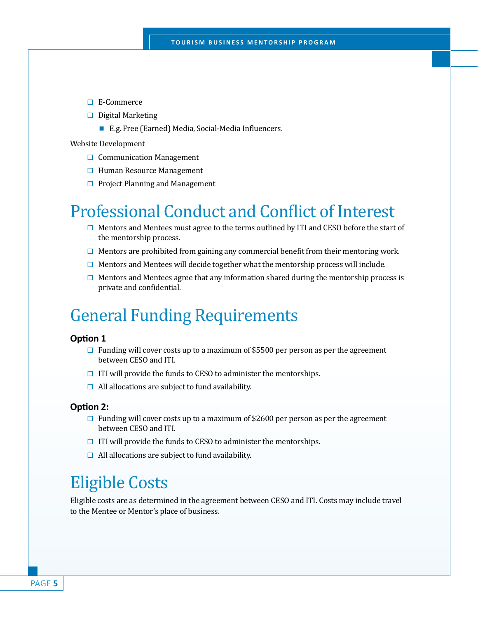- E-Commerce
- $\Box$  Digital Marketing
	- E.g. Free (Earned) Media, Social-Media Influencers.

Website Development

- $\Box$  Communication Management
- $\Box$  Human Resource Management
- $\Box$  Project Planning and Management

### Professional Conduct and Conflict of Interest

- $\Box$  Mentors and Mentees must agree to the terms outlined by ITI and CESO before the start of the mentorship process.
- $\Box$  Mentors are prohibited from gaining any commercial benefit from their mentoring work.
- $\Box$  Mentors and Mentees will decide together what the mentorship process will include.
- $\Box$  Mentors and Mentees agree that any information shared during the mentorship process is private and confidential.

### General Funding Requirements

#### **Option 1**

- $\Box$  Funding will cover costs up to a maximum of \$5500 per person as per the agreement between CESO and ITI.
- $\Box$  ITI will provide the funds to CESO to administer the mentorships.
- $\Box$  All allocations are subject to fund availability.

#### **Option 2:**

- $\Box$  Funding will cover costs up to a maximum of \$2600 per person as per the agreement between CESO and ITI.
- $\Box$  ITI will provide the funds to CESO to administer the mentorships.
- $\Box$  All allocations are subject to fund availability.

### Eligible Costs

Eligible costs are as determined in the agreement between CESO and ITI. Costs may include travel to the Mentee or Mentor's place of business.